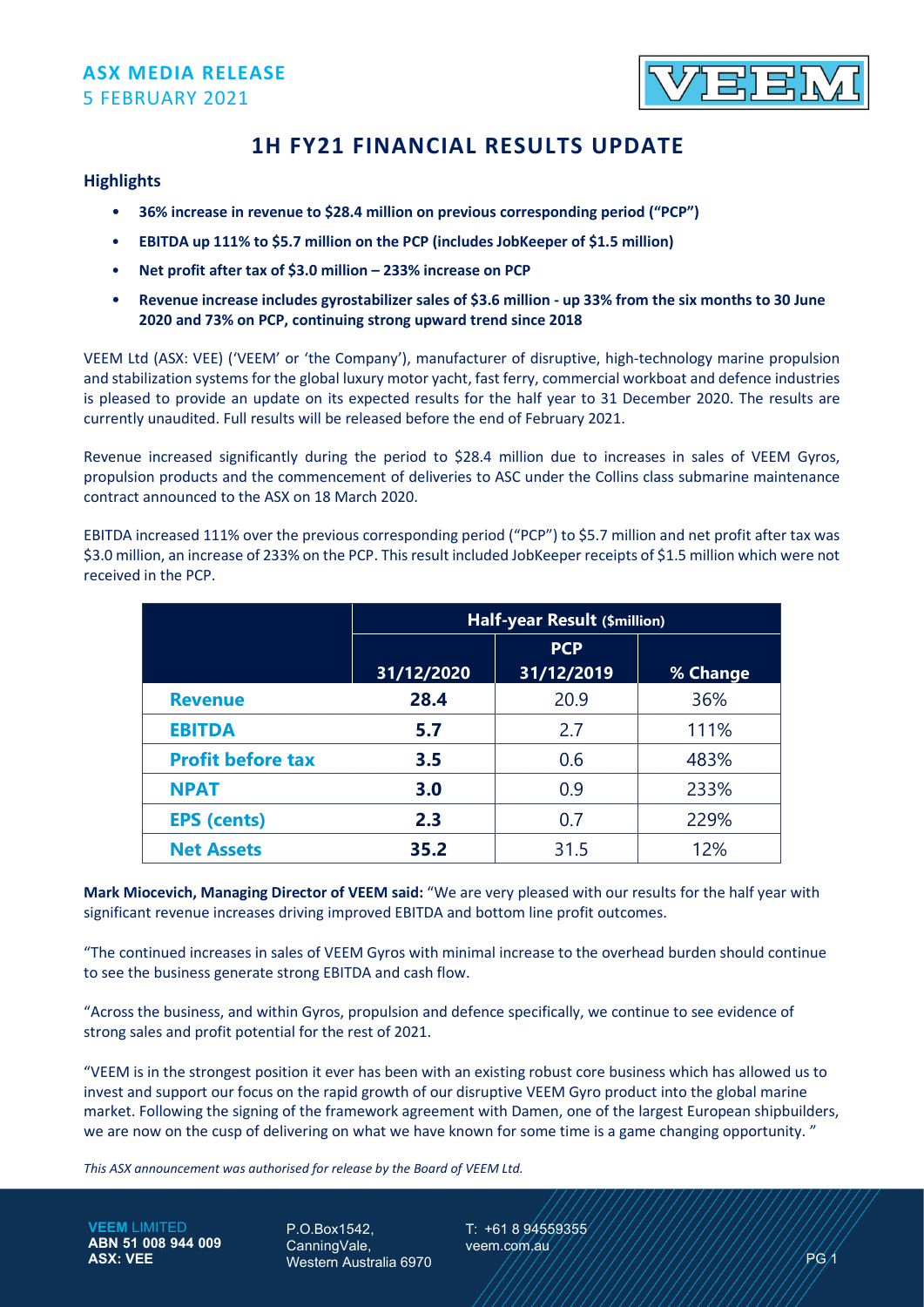### **ASX MEDIA RELEASE**  5 FEBRUARY 2021



# **1H FY21 FINANCIAL RESULTS UPDATE**

#### **Highlights**

- **36% increase in revenue to \$28.4 million on previous corresponding period ("PCP")**
- **EBITDA up 111% to \$5.7 million on the PCP (includes JobKeeper of \$1.5 million)**
- **Net profit after tax of \$3.0 million – 233% increase on PCP**
- **Revenue increase includes gyrostabilizer sales of \$3.6 million - up 33% from the six months to 30 June 2020 and 73% on PCP, continuing strong upward trend since 2018**

VEEM Ltd (ASX: VEE) ('VEEM' or 'the Company'), manufacturer of disruptive, high-technology marine propulsion and stabilization systems for the global luxury motor yacht, fast ferry, commercial workboat and defence industries is pleased to provide an update on its expected results for the half year to 31 December 2020. The results are currently unaudited. Full results will be released before the end of February 2021.

Revenue increased significantly during the period to \$28.4 million due to increases in sales of VEEM Gyros, propulsion products and the commencement of deliveries to ASC under the Collins class submarine maintenance contract announced to the ASX on 18 March 2020.

EBITDA increased 111% over the previous corresponding period ("PCP") to \$5.7 million and net profit after tax was \$3.0 million, an increase of 233% on the PCP. This result included JobKeeper receipts of \$1.5 million which were not received in the PCP.

|                          | Half-year Result (\$million) |                          |          |
|--------------------------|------------------------------|--------------------------|----------|
|                          | 31/12/2020                   | <b>PCP</b><br>31/12/2019 | % Change |
| <b>Revenue</b>           | 28.4                         | 20.9                     | 36%      |
| <b>EBITDA</b>            | 5.7                          | 2.7                      | 111%     |
| <b>Profit before tax</b> | 3.5                          | 0.6                      | 483%     |
| <b>NPAT</b>              | 3.0                          | 0.9                      | 233%     |
| <b>EPS (cents)</b>       | 2.3                          | 0.7                      | 229%     |
| <b>Net Assets</b>        | 35.2                         | 31.5                     | 12%      |

**Mark Miocevich, Managing Director of VEEM said:** "We are very pleased with our results for the half year with significant revenue increases driving improved EBITDA and bottom line profit outcomes.

"The continued increases in sales of VEEM Gyros with minimal increase to the overhead burden should continue to see the business generate strong EBITDA and cash flow.

"Across the business, and within Gyros, propulsion and defence specifically, we continue to see evidence of strong sales and profit potential for the rest of 2021.

"VEEM is in the strongest position it ever has been with an existing robust core business which has allowed us to invest and support our focus on the rapid growth of our disruptive VEEM Gyro product into the global marine market. Following the signing of the framework agreement with Damen, one of the largest European shipbuilders, we are now on the cusp of delivering on what we have known for some time is a game changing opportunity. "

*This ASX announcement was authorised for release by the Board of VEEM Ltd.*

**VEEM** LIMITED **ABN 51 008 944 009 ASX: VEE**

P.O.Box1542, CanningVale, Western Australia 6970 T: +61 8 94559355 veem.com.au